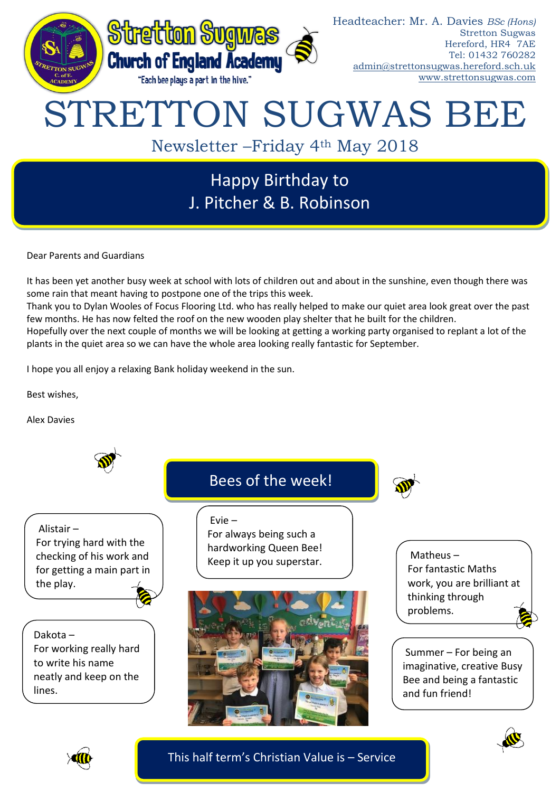

# Happy Birthday to J. Pitcher & B. Robinson

Dear Parents and Guardians

It has been yet another busy week at school with lots of children out and about in the sunshine, even though there was some rain that meant having to postpone one of the trips this week.

Thank you to Dylan Wooles of Focus Flooring Ltd. who has really helped to make our quiet area look great over the past few months. He has now felted the roof on the new wooden play shelter that he built for the children.

Hopefully over the next couple of months we will be looking at getting a working party organised to replant a lot of the plants in the quiet area so we can have the whole area looking really fantastic for September.

I hope you all enjoy a relaxing Bank holiday weekend in the sun.

Best wishes,

Alex Davies



Alistair – For trying hard with the checking of his work and for getting a main part in the play.

Dakota – For working really hard to write his name neatly and keep on the lines.

## Bees of the week!

Evie –

For always being such a hardworking Queen Bee! Keep it up you superstar.



Matheus – For fantastic Maths work, you are brilliant at thinking through problems.

Summer – For being an imaginative, creative Busy Bee and being a fantastic and fun friend!





This half term's Christian Value is – Service